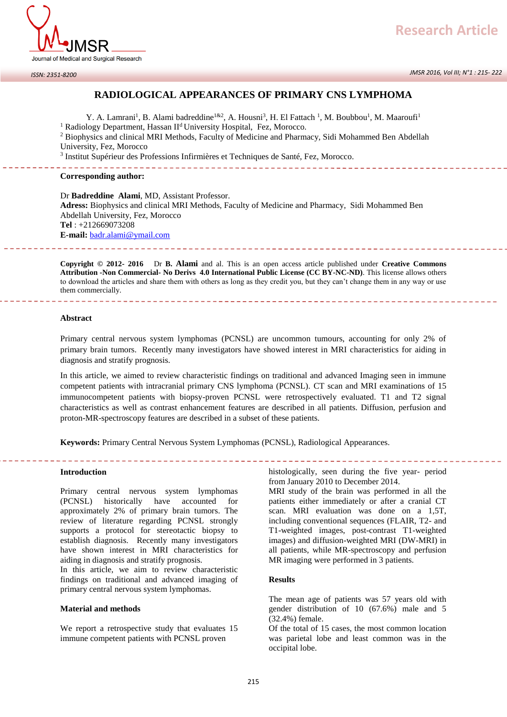

#### *ISSN: 2351-8200*

# **RADIOLOGICAL APPEARANCES OF PRIMARY CNS LYMPHOMA**

Y. A. Lamrani<sup>1</sup>, B. Alami badreddine<sup>1&2</sup>, A. Housni<sup>3</sup>, H. El Fattach<sup>1</sup>, M. Boubbou<sup>1</sup>, M. Maaroufi<sup>1</sup> <sup>1</sup> Radiology Department, Hassan II<sup>d</sup> University Hospital, Fez, Morocco.

<sup>2</sup> Biophysics and clinical MRI Methods, Faculty of Medicine and Pharmacy, Sidi Mohammed Ben Abdellah University, Fez, Morocco

<sup>3</sup> Institut Supérieur des Professions Infirmières et Techniques de Santé, Fez, Morocco.

### **Corresponding author:**

Dr **Badreddine Alami**, MD, Assistant Professor. **Adress:** Biophysics and clinical MRI Methods, Faculty of Medicine and Pharmacy, Sidi Mohammed Ben Abdellah University, Fez, Morocco **Tel** : +212669073208 **E-mail:** [badr.alami@ymail.com](mailto:badr.alami@ymail.com)

**Copyright © 2012- 2016** Dr **B. Alami** and al. This is an open access article published under **Creative Commons Attribution -Non Commercial- No Derivs 4.0 International Public License (CC BY-NC-ND)**. This license allows others to download the articles and share them with others as long as they credit you, but they can't change them in any way or use them commercially.

### **Abstract**

Primary central nervous system lymphomas (PCNSL) are uncommon tumours, accounting for only 2% of primary brain tumors. Recently many investigators have showed interest in MRI characteristics for aiding in diagnosis and stratify prognosis.

In this article, we aimed to review characteristic findings on traditional and advanced Imaging seen in immune competent patients with intracranial primary CNS lymphoma (PCNSL). CT scan and MRI examinations of 15 immunocompetent patients with biopsy-proven PCNSL were retrospectively evaluated. T1 and T2 signal characteristics as well as contrast enhancement features are described in all patients. Diffusion, perfusion and proton-MR-spectroscopy features are described in a subset of these patients.

**Keywords:** Primary Central Nervous System Lymphomas (PCNSL), Radiological Appearances.

### **Introduction**

Primary central nervous system lymphomas (PCNSL) historically have accounted for approximately 2% of primary brain tumors. The review of literature regarding PCNSL strongly supports a protocol for stereotactic biopsy to establish diagnosis. Recently many investigators have shown interest in MRI characteristics for aiding in diagnosis and stratify prognosis.

In this article, we aim to review characteristic findings on traditional and advanced imaging of primary central nervous system lymphomas.

## **Material and methods**

We report a retrospective study that evaluates 15 immune competent patients with PCNSL proven

histologically, seen during the five year- period from January 2010 to December 2014.

MRI study of the brain was performed in all the patients either immediately or after a cranial CT scan. MRI evaluation was done on a 1,5T, including conventional sequences (FLAIR, T2- and T1-weighted images, post-contrast T1-weighted images) and diffusion-weighted MRI (DW-MRI) in all patients, while MR-spectroscopy and perfusion MR imaging were performed in 3 patients.

## **Results**

The mean age of patients was 57 years old with gender distribution of 10 (67.6%) male and 5 (32.4%) female.

Of the total of 15 cases, the most common location was parietal lobe and least common was in the occipital lobe.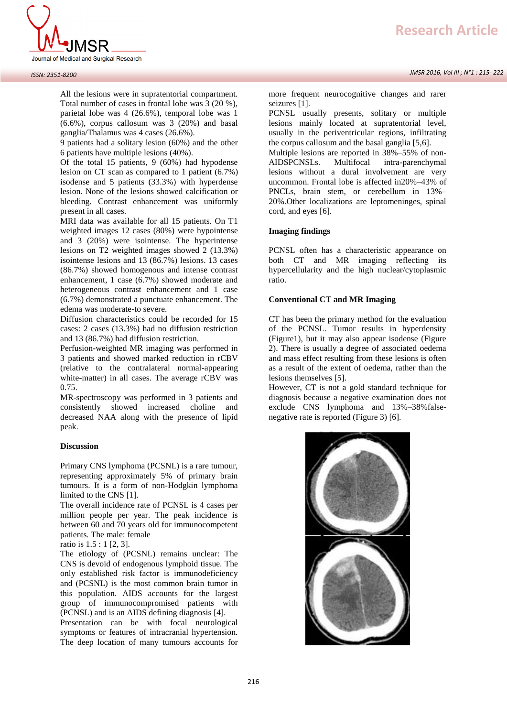

#### *ISSN: 2351-8200*

All the lesions were in supratentorial compartment. Total number of cases in frontal lobe was 3 (20 %), parietal lobe was 4 (26.6%), temporal lobe was 1 (6.6%), corpus callosum was 3 (20%) and basal ganglia/Thalamus was 4 cases (26.6%).

9 patients had a solitary lesion (60%) and the other 6 patients have multiple lesions (40%).

Of the total 15 patients, 9 (60%) had hypodense lesion on CT scan as compared to 1 patient (6.7%) isodense and 5 patients (33.3%) with hyperdense lesion. None of the lesions showed calcification or bleeding. Contrast enhancement was uniformly present in all cases.

MRI data was available for all 15 patients. On T1 weighted images 12 cases (80%) were hypointense and 3 (20%) were isointense. The hyperintense lesions on T2 weighted images showed 2 (13.3%) isointense lesions and 13 (86.7%) lesions. 13 cases (86.7%) showed homogenous and intense contrast enhancement, 1 case (6.7%) showed moderate and heterogeneous contrast enhancement and 1 case (6.7%) demonstrated a punctuate enhancement. The edema was moderate-to severe.

Diffusion characteristics could be recorded for 15 cases: 2 cases (13.3%) had no diffusion restriction and 13 (86.7%) had diffusion restriction.

Perfusion-weighted MR imaging was performed in 3 patients and showed marked reduction in rCBV (relative to the contralateral normal-appearing white-matter) in all cases. The average rCBV was 0.75.

MR-spectroscopy was performed in 3 patients and consistently showed increased choline and decreased NAA along with the presence of lipid peak.

## **Discussion**

Primary CNS lymphoma (PCSNL) is a rare tumour, representing approximately 5% of primary brain tumours. It is a form of non-Hodgkin lymphoma limited to the CNS [1].

The overall incidence rate of PCNSL is 4 cases per million people per year. The peak incidence is between 60 and 70 years old for immunocompetent patients. The male: female

ratio is 1.5 : 1 [2, 3].

The etiology of (PCSNL) remains unclear: The CNS is devoid of endogenous lymphoid tissue. The only established risk factor is immunodeficiency and (PCSNL) is the most common brain tumor in this population. AIDS accounts for the largest group of immunocompromised patients with (PCNSL) and is an AIDS defining diagnosis [4].

Presentation can be with focal neurological symptoms or features of intracranial hypertension. The deep location of many tumours accounts for more frequent neurocognitive changes and rarer seizures [1].

PCNSL usually presents, solitary or multiple lesions mainly located at supratentorial level, usually in the periventricular regions, infiltrating the corpus callosum and the basal ganglia [5,6].

Multiple lesions are reported in 38%–55% of non-AIDSPCNSLs. Multifocal intra-parenchymal lesions without a dural involvement are very uncommon. Frontal lobe is affected in20%–43% of PNCLs, brain stem, or cerebellum in 13%– 20%.Other localizations are leptomeninges, spinal cord, and eyes [6].

## **Imaging findings**

PCNSL often has a characteristic appearance on both CT and MR imaging reflecting its hypercellularity and the high nuclear/cytoplasmic ratio.

## **Conventional CT and MR Imaging**

CT has been the primary method for the evaluation of the PCNSL. Tumor results in hyperdensity (Figure1), but it may also appear isodense (Figure 2). There is usually a degree of associated oedema and mass effect resulting from these lesions is often as a result of the extent of oedema, rather than the lesions themselves [5].

However, CT is not a gold standard technique for diagnosis because a negative examination does not exclude CNS lymphoma and 13%–38%falsenegative rate is reported (Figure 3) [6].

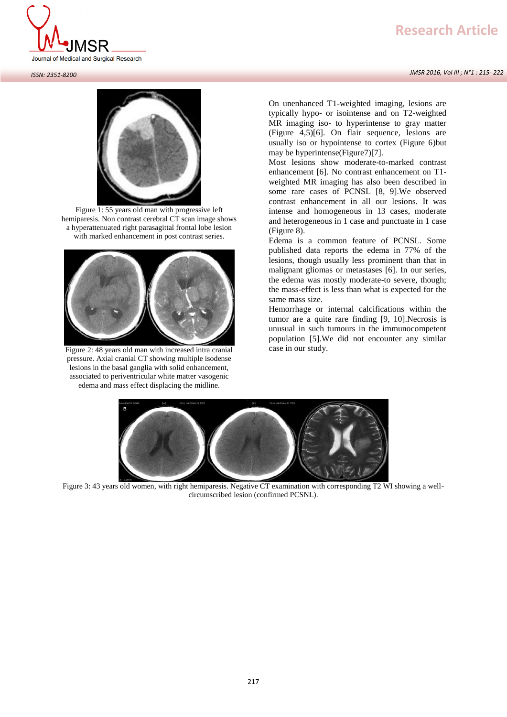# **Research Article**

*JMSR 2016, Vol III ; N°1 : 215- 222*



#### *ISSN: 2351-8200*



Figure 1: 55 years old man with progressive left hemiparesis. Non contrast cerebral CT scan image shows a hyperattenuated right parasagittal frontal lobe lesion with marked enhancement in post contrast series.



Figure 2: 48 years old man with increased intra cranial pressure. Axial cranial CT showing multiple isodense lesions in the basal ganglia with solid enhancement, associated to periventricular white matter vasogenic edema and mass effect displacing the midline.

On unenhanced T1-weighted imaging, lesions are typically hypo- or isointense and on T2-weighted MR imaging iso- to hyperintense to gray matter (Figure 4,5)[6]. On flair sequence, lesions are usually iso or hypointense to cortex (Figure 6)but may be hyperintense(Figure7)[7].

Most lesions show moderate-to-marked contrast enhancement [6]. No contrast enhancement on T1 weighted MR imaging has also been described in some rare cases of PCNSL [8, 9].We observed contrast enhancement in all our lesions. It was intense and homogeneous in 13 cases, moderate and heterogeneous in 1 case and punctuate in 1 case (Figure 8).

Edema is a common feature of PCNSL. Some published data reports the edema in 77% of the lesions, though usually less prominent than that in malignant gliomas or metastases [6]. In our series, the edema was mostly moderate-to severe, though; the mass-effect is less than what is expected for the same mass size.

Hemorrhage or internal calcifications within the tumor are a quite rare finding [9, 10].Necrosis is unusual in such tumours in the immunocompetent population [5].We did not encounter any similar case in our study.



Figure 3: 43 years old women, with right hemiparesis. Negative CT examination with corresponding T2 WI showing a wellcircumscribed lesion (confirmed PCSNL).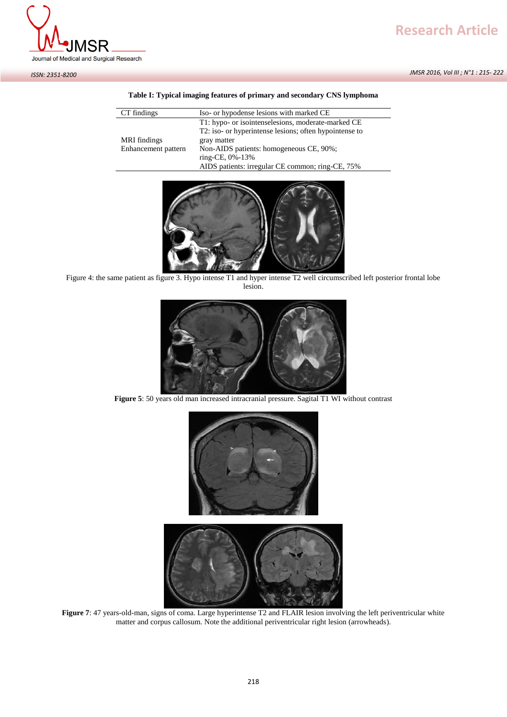



*ISSN: 2351-8200*

## **Table I: Typical imaging features of primary and secondary CNS lymphoma**

| CT findings         | Iso- or hypodense lesions with marked CE               |
|---------------------|--------------------------------------------------------|
|                     | T1: hypo- or isointenselesions, moderate-marked CE     |
|                     | T2: iso- or hyperintense lesions; often hypointense to |
| MRI findings        | gray matter                                            |
| Enhancement pattern | Non-AIDS patients: homogeneous CE, 90%;                |
|                     | ring-CE, 0%-13%                                        |
|                     | AIDS patients: irregular CE common; ring-CE, 75%       |



Figure 4: the same patient as figure 3. Hypo intense T1 and hyper intense T2 well circumscribed left posterior frontal lobe lesion.



**Figure 5**: 50 years old man increased intracranial pressure. Sagital T1 WI without contrast



**Figure 7**: 47 years-old-man, signs of coma. Large hyperintense T2 and FLAIR lesion involving the left periventricular white matter and corpus callosum. Note the additional periventricular right lesion (arrowheads).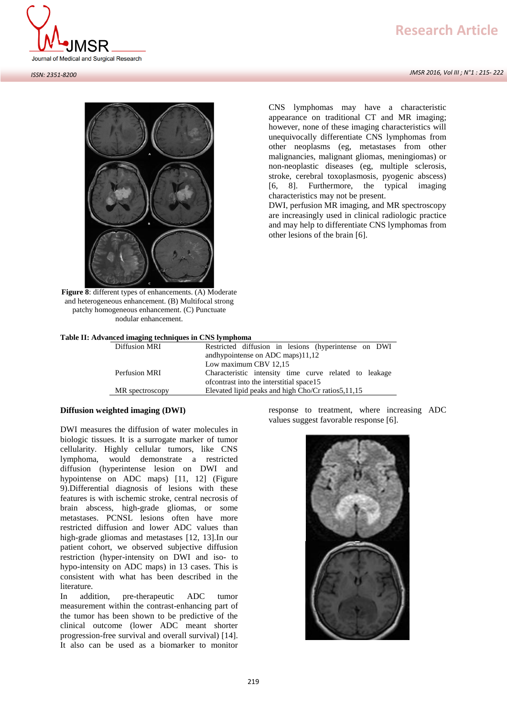# **Research Article**

*JMSR 2016, Vol III ; N°1 : 215- 222*





**Figure 8**: different types of enhancements. (A) Moderate and heterogeneous enhancement. (B) Multifocal strong patchy homogeneous enhancement. (C) Punctuate nodular enhancement.

|  |  |  |  |  | Table II: Advanced imaging techniques in CNS lymphoma |  |  |  |  |  |
|--|--|--|--|--|-------------------------------------------------------|--|--|--|--|--|
|--|--|--|--|--|-------------------------------------------------------|--|--|--|--|--|

| Diffusion MRI   | Restricted diffusion in lesions (hyperintense on DWI)  |  |  |  |  |  |
|-----------------|--------------------------------------------------------|--|--|--|--|--|
|                 | andhypointense on ADC maps $)11,12$                    |  |  |  |  |  |
|                 | Low maximum CBV 12,15                                  |  |  |  |  |  |
| Perfusion MRI   | Characteristic intensity time curve related to leakage |  |  |  |  |  |
|                 | of contrast into the interstitial space 15             |  |  |  |  |  |
| MR spectroscopy | Elevated lipid peaks and high Cho/Cr ratios 5, 11, 15  |  |  |  |  |  |
|                 |                                                        |  |  |  |  |  |

## **Diffusion weighted imaging (DWI)**

DWI measures the diffusion of water molecules in biologic tissues. It is a surrogate marker of tumor cellularity. Highly cellular tumors, like CNS lymphoma, would demonstrate a restricted diffusion (hyperintense lesion on DWI and hypointense on ADC maps) [11, 12] (Figure 9).Differential diagnosis of lesions with these features is with ischemic stroke, central necrosis of brain abscess, high-grade gliomas, or some metastases. PCNSL lesions often have more restricted diffusion and lower ADC values than high-grade gliomas and metastases [12, 13].In our patient cohort, we observed subjective diffusion restriction (hyper-intensity on DWI and iso- to hypo-intensity on ADC maps) in 13 cases. This is consistent with what has been described in the literature.

In addition, pre-therapeutic ADC tumor measurement within the contrast-enhancing part of the tumor has been shown to be predictive of the clinical outcome (lower ADC meant shorter progression-free survival and overall survival) [14]. It also can be used as a biomarker to monitor

response to treatment, where increasing ADC values suggest favorable response [6].



CNS lymphomas may have a characteristic appearance on traditional CT and MR imaging; however, none of these imaging characteristics will unequivocally differentiate CNS lymphomas from other neoplasms (eg, metastases from other malignancies, malignant gliomas, meningiomas) or non-neoplastic diseases (eg, multiple sclerosis, stroke, cerebral toxoplasmosis, pyogenic abscess) [6, 8]. Furthermore, the typical imaging characteristics may not be present.

DWI, perfusion MR imaging, and MR spectroscopy are increasingly used in clinical radiologic practice and may help to differentiate CNS lymphomas from other lesions of the brain [6].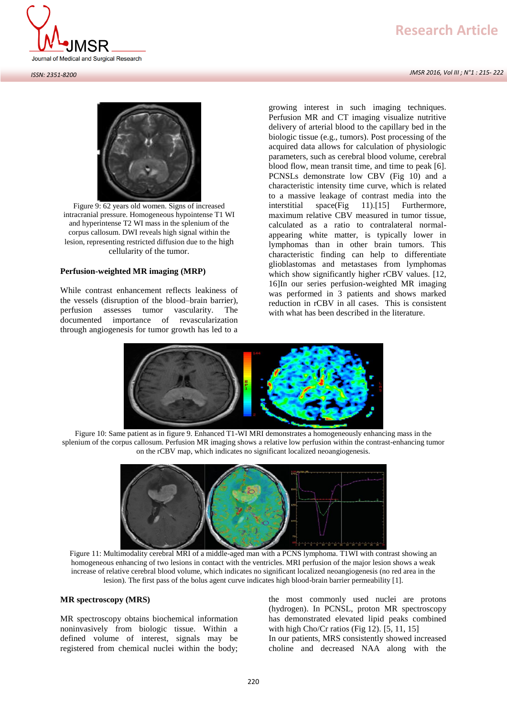# **Research Article**

*JMSR 2016, Vol III ; N°1 : 215- 222*





Figure 9: 62 years old women. Signs of increased intracranial pressure. Homogeneous hypointense T1 WI and hyperintense T2 WI mass in the splenium of the corpus callosum. DWI reveals high signal within the lesion, representing restricted diffusion due to the high cellularity of the tumor.

## **Perfusion-weighted MR imaging (MRP)**

While contrast enhancement reflects leakiness of the vessels (disruption of the blood–brain barrier), perfusion assesses tumor vascularity. The documented importance of revascularization through angiogenesis for tumor growth has led to a

growing interest in such imaging techniques. Perfusion MR and CT imaging visualize nutritive delivery of arterial blood to the capillary bed in the biologic tissue (e.g., tumors). Post processing of the acquired data allows for calculation of physiologic parameters, such as cerebral blood volume, cerebral blood flow, mean transit time, and time to peak [6]. PCNSLs demonstrate low CBV (Fig 10) and a characteristic intensity time curve, which is related to a massive leakage of contrast media into the interstitial space(Fig 11).[15] Furthermore, maximum relative CBV measured in tumor tissue, calculated as a ratio to contralateral normalappearing white matter, is typically lower in lymphomas than in other brain tumors. This characteristic finding can help to differentiate glioblastomas and metastases from lymphomas which show significantly higher rCBV values. [12, 16]In our series perfusion-weighted MR imaging was performed in 3 patients and shows marked reduction in rCBV in all cases. This is consistent with what has been described in the literature.



Figure 10: Same patient as in figure 9. Enhanced T1-WI MRI demonstrates a homogeneously enhancing mass in the splenium of the corpus callosum. Perfusion MR imaging shows a relative low perfusion within the contrast-enhancing tumor on the rCBV map, which indicates no significant localized neoangiogenesis.



Figure 11: Multimodality cerebral MRI of a middle-aged man with a PCNS lymphoma. T1WI with contrast showing an homogeneous enhancing of two lesions in contact with the ventricles. MRI perfusion of the major lesion shows a weak increase of relative cerebral blood volume, which indicates no significant localized neoangiogenesis (no red area in the lesion). The first pass of the bolus agent curve indicates high blood-brain barrier permeability [1].

## **MR spectroscopy (MRS)**

MR spectroscopy obtains biochemical information noninvasively from biologic tissue. Within a defined volume of interest, signals may be registered from chemical nuclei within the body;

the most commonly used nuclei are protons (hydrogen). In PCNSL, proton MR spectroscopy has demonstrated elevated lipid peaks combined with high Cho/Cr ratios (Fig 12). [5, 11, 15] In our patients, MRS consistently showed increased choline and decreased NAA along with the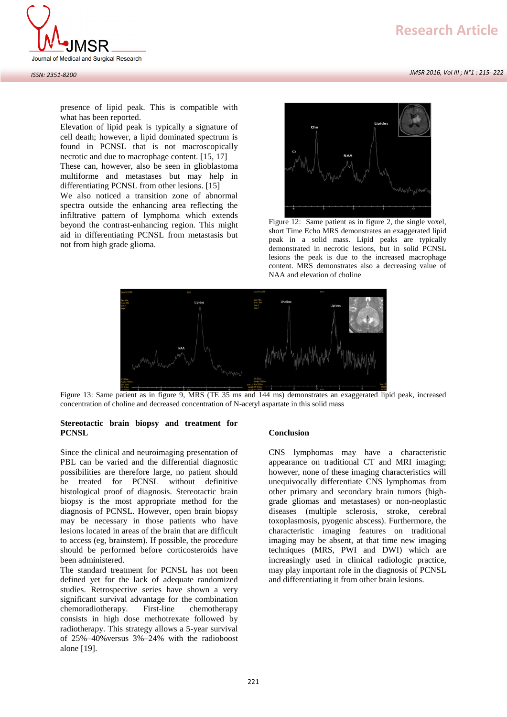

*JMSR 2016, Vol III ; N°1 : 215- 222*



Elevation of lipid peak is typically a signature of cell death; however, a lipid dominated spectrum is found in PCNSL that is not macroscopically necrotic and due to macrophage content. [15, 17] These can, however, also be seen in glioblastoma multiforme and metastases but may help in

differentiating PCNSL from other lesions. [15]

We also noticed a transition zone of abnormal spectra outside the enhancing area reflecting the infiltrative pattern of lymphoma which extends beyond the contrast-enhancing region. This might aid in differentiating PCNSL from metastasis but not from high grade glioma.



Figure 12: Same patient as in figure 2, the single voxel, short Time Echo MRS demonstrates an exaggerated lipid peak in a solid mass. Lipid peaks are typically demonstrated in necrotic lesions, but in solid PCNSL lesions the peak is due to the increased macrophage content. MRS demonstrates also a decreasing value of NAA and elevation of choline



Figure 13: Same patient as in figure 9, MRS (TE 35 ms and 144 ms) demonstrates an exaggerated lipid peak, increased concentration of choline and decreased concentration of N-acetyl aspartate in this solid mass

## **Stereotactic brain biopsy and treatment for PCNSL**

Since the clinical and neuroimaging presentation of PBL can be varied and the differential diagnostic possibilities are therefore large, no patient should be treated for PCNSL without definitive histological proof of diagnosis. Stereotactic brain biopsy is the most appropriate method for the diagnosis of PCNSL. However, open brain biopsy may be necessary in those patients who have lesions located in areas of the brain that are difficult to access (eg, brainstem). If possible, the procedure should be performed before corticosteroids have been administered.

The standard treatment for PCNSL has not been defined yet for the lack of adequate randomized studies. Retrospective series have shown a very significant survival advantage for the combination chemoradiotherapy. First-line chemotherapy consists in high dose methotrexate followed by radiotherapy. This strategy allows a 5-year survival of 25%–40%versus 3%–24% with the radioboost alone [19].

## **Conclusion**

CNS lymphomas may have a characteristic appearance on traditional CT and MRI imaging; however, none of these imaging characteristics will unequivocally differentiate CNS lymphomas from other primary and secondary brain tumors (highgrade gliomas and metastases) or non-neoplastic diseases (multiple sclerosis, stroke, cerebral toxoplasmosis, pyogenic abscess). Furthermore, the characteristic imaging features on traditional imaging may be absent, at that time new imaging techniques (MRS, PWI and DWI) which are increasingly used in clinical radiologic practice, may play important role in the diagnosis of PCNSL and differentiating it from other brain lesions.